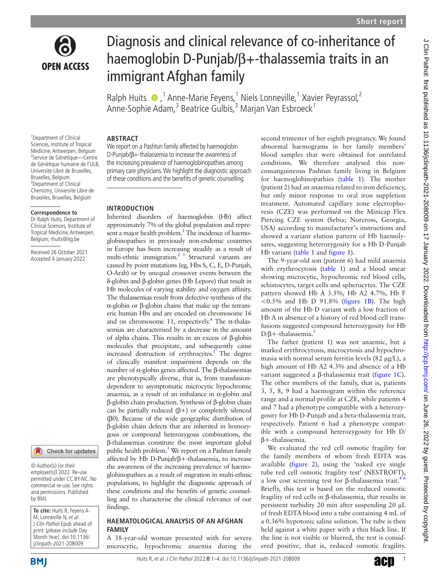

# Diagnosis and clinical relevance of co-inheritance of haemoglobin D-Punjab/β+-thalassemia traits in an immigrant Afghan family

Ralph Huits  $\bullet$ , <sup>1</sup> Anne-Marie Feyens, <sup>1</sup> Niels Lonneville, <sup>1</sup> Xavier Peyrassol, <sup>2</sup> Anne-Sophie Adam,<sup>3</sup> Beatrice Gulbis,<sup>3</sup> Marjan Van Esbroeck<sup>1</sup>

# **ABSTRACT**

We report on a Pashtun family affected by haemoglobin D-Punjab/β+-thalassemia to increase the awareness of

# **Correspondence to**

<sup>1</sup>Department of Clinical Sciences, Institute of Tropical Medicine, Antwerpen, Belgium 2 Service de Génétique—Centre de Génétique humaine de l'ULB, Universite Libre de Bruxelles, Bruxelles, Belgium 3 Department of Clinical Chemistry, Universite Libre de Bruxelles, Bruxelles, Belgium

Dr Ralph Huits, Department of Clinical Sciences, Institute of Tropical Medicine, Antwerpen, Belgium; rhuits@itg.be

Received 26 October 2021 Accepted 4 January 2022



© Author(s) (or their employer(s)) 2022. Re-use permitted under CC BY-NC. No commercial re-use. See rights and permissions. Published by BMJ.

**To cite:** Huits R, Feyens A-M, Lonneville N, et al. J Clin Pathol Epub ahead of print: [please include Day Month Year]. doi:10.1136/ jclinpath-2021-208009

the increasing prevalence of haemoglobinopathies among primary care physicians. We highlight the diagnostic approach of these conditions and the benefits of genetic counselling.

# **INTRODUCTION**

Inherited disorders of haemoglobin (Hb) affect approximately 7% of the global population and represent a major health problem.<sup>1</sup> The incidence of haemoglobinopathies in previously non-endemic countries in Europe has been increasing steadily as a result of multi-ethnic immigration.<sup>2</sup> <sup>3</sup> Structural variants are caused by point mutations (eg, Hbs S, C, E, D-Punjab, O-Arab) or by unequal crossover events between the δ-globin and β-globin genes (Hb Lepore) that result in Hb molecules of varying stability and oxygen affinity. The thalassemias result from defective synthesis of the α-globin or β-globin chains that make up the tetrameric human Hbs and are encoded on chromosome 16 and on chromosome 11, respectively.<sup>4</sup> The α-thalassemias are characterised by a decrease in the amount of alpha chains. This results in an excess of β-globin molecules that precipitate, and subsequently cause increased destruction of erythrocytes.<sup>[1](#page-3-0)</sup> The degree of clinically manifest impairment depends on the number of α-globin genes affected. The β-thalassemias are phenotypically diverse, that is, from transfusiondependent to asymptomatic microcytic hypochromic anaemia, as a result of an imbalance in  $\alpha$ -globin and β-globin chain production. Synthesis of β-globin chain can be partially reduced (β+) or completely silenced (β0). Because of the wide geographic distribution of β-globin chain defects that are inherited in homozygous or compound heterozygous combinations, the β-thalassemias constitute the most important global public health problem.<sup>[3](#page-3-3)</sup> We report on a Pashtun family affected by Hb D-Punjab/β+-thalassemia, to increase the awareness of the increasing prevalence of haemoglobinopathies as a result of migration in multi-ethnic populations, to highlight the diagnostic approach of these conditions and the benefits of genetic counselling and to characterise the clinical relevance of our findings.

## **HAEMATOLOGICAL ANALYSIS OF AN AFGHAN FAMILY**

A 38-year-old woman presented with for severe microcytic, hypochromic anaemia during the

second trimester of her eighth pregnancy. We found abnormal haemograms in her family members' blood samples that were obtained for unrelated conditions. We therefore analysed this nonconsanguineous Pashtun family living in Belgium for haemoglobinopathies ([table](#page-1-0) 1). The mother (patient 2) had an anaemia related to iron deficiency, but only minor response to oral iron suppletion treatment. Automated capillary zone electrophoresis (CZE) was performed on the Minicap Flex Piercing CZE system (Sebia; Norcross, Georgia, USA) according to manufacturer's instructions and showed a variant elution pattern of Hb haemolysates, suggesting heterozygosity for a Hb D-Punjab Hb variant ([table](#page-1-0) 1 and [figure](#page-1-1) 1).

The 9-year-old son (patient 6) had mild anaemia with erythrocytosis ([table](#page-1-0) 1) and a blood smear showing microcytic, hypochromic red blood cells, schistocytes, target cells and spherocytes. The CZE pattern showed Hb A 3.5%, Hb A2 4.7%, Hb F <0.5% and Hb D 91.8% ([figure](#page-1-1) 1B). The high amount of the Hb D variant with a low fraction of Hb A in absence of a history of red blood cell transfusions suggested compound heterozygosity for Hb D/β+-thalassemia.<sup>[5](#page-3-4)</sup>

The father (patient 1) was not anaemic, but a marked erythrocytosis, microcytosis and hypochromasia with normal serum ferritin levels (82 µg/L), a high amount of Hb A2 4.3% and absence of a Hb variant suggested a β-thalassemia trait ([figure](#page-1-1) 1C). The other members of the family, that is, patients 3, 5, 8, 9 had a haemogram within the reference range and a normal profile at CZE, while patients 4 and 7 had a phenotype compatible with a heterozygosity for Hb D-Punjab and a beta-thalassemia trait, respectively. Patient 6 had a phenotype compatible with a compound heterozygosity for Hb D/ β+-thalassemia.

We evaluated the red cell osmotic fragility for the family members of whom fresh EDTA was available [\(figure](#page-2-0) 2), using the 'naked eye single tube red cell osmotic fragility test' (NESTROFT), a low cost screening test for β-thalassemia trait.<sup>46</sup> Briefly, this test is based on the reduced osmotic fragility of red cells in β-thalassemia, that results in persistent turbidity 20 min after suspending 20 µL of fresh EDTA blood into a tube containing 4 mL of a 0.36% hypotonic saline solution. The tube is then held against a white paper with a thin black line. If the line is not visible or blurred, the test is considered positive, that is, reduced osmotic fragility.



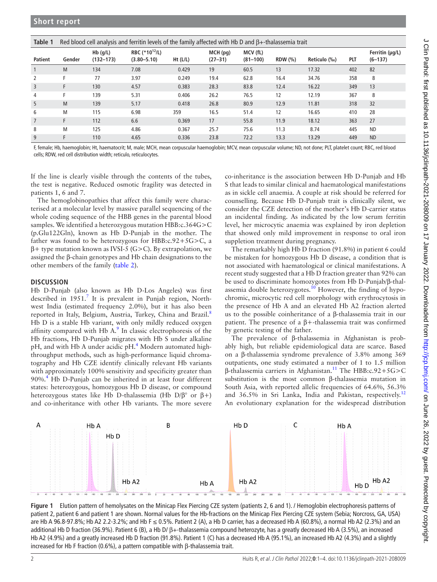<span id="page-1-0"></span>

| Table 1        | Red blood cell analysis and ferritin levels of the family affected with Hb D and $\beta$ +-thalassemia trait |                         |                                               |          |                           |                          |        |              |     |                                |
|----------------|--------------------------------------------------------------------------------------------------------------|-------------------------|-----------------------------------------------|----------|---------------------------|--------------------------|--------|--------------|-----|--------------------------------|
| Patient        | Gender                                                                                                       | $Hb$ (g/L)<br>(132–173) | RBC (*10 <sup>12</sup> /L)<br>$(3.80 - 5.10)$ | Ht (L/L) | $MCH$ (pg)<br>$(27 - 31)$ | MCV (fL)<br>$(81 - 100)$ | RDW(%) | Reticulo (‰) | PLT | Ferritin (µg/L)<br>$(6 - 137)$ |
|                | M                                                                                                            | 134                     | 7.08                                          | 0.429    | 19                        | 60.5                     | 13     | 17.32        | 402 | 82                             |
| 2              | F                                                                                                            | 77                      | 3.97                                          | 0.249    | 19.4                      | 62.8                     | 16.4   | 34.76        | 358 | 8                              |
| 3              | F                                                                                                            | 130                     | 4.57                                          | 0.383    | 28.3                      | 83.8                     | 12.4   | 16.22        | 349 | 13                             |
| $\overline{4}$ | F                                                                                                            | 139                     | 5.31                                          | 0.406    | 26.2                      | 76.5                     | 12     | 12.19        | 367 | 8                              |
| 5              | M                                                                                                            | 139                     | 5.17                                          | 0.418    | 26.8                      | 80.9                     | 12.9   | 11.81        | 318 | 32                             |
| 6              | M                                                                                                            | 115                     | 6.98                                          | 359      | 16.5                      | 51.4                     | 12     | 16.65        | 410 | 28                             |
| $\overline{7}$ | F                                                                                                            | 112                     | 6.6                                           | 0.369    | 17                        | 55.8                     | 11.9   | 18.12        | 363 | 27                             |
| 8              | M                                                                                                            | 125                     | 4.86                                          | 0.367    | 25.7                      | 75.6                     | 11.3   | 8.74         | 445 | <b>ND</b>                      |
| 9              | F                                                                                                            | 110                     | 4.65                                          | 0.336    | 23.8                      | 72.2                     | 13.3   | 13.29        | 449 | <b>ND</b>                      |

F, female; Hb, haemoglobin; Ht, haematocrit; M, male; MCH, mean corpuscular haemoglobin; MCV, mean corpuscular volume; ND, not done; PLT, platelet count; RBC, red blood cells; RDW, red cell distribution width; reticulo, reticulocytes.

If the line is clearly visible through the contents of the tubes, the test is negative. Reduced osmotic fragility was detected in patients 1, 6 and 7.

The hemoglobinopathies that affect this family were characterised at a molecular level by massive parallel sequencing of the whole coding sequence of the HBB genes in the parental blood samples. We identified a heterozygous mutation HBB:c.364G>C (p.Glu122Gln), known as Hb D-Punjab in the mother. The father was found to be heterozygous for HBB:c.92+5G>C, a β+ type mutation known as IVSI-5 (G>C). By extrapolation, we assigned the β-chain genotypes and Hb chain designations to the other members of the family [\(table](#page-2-1) 2).

# **DISCUSSION**

Hb D-Punjab (also known as Hb D-Los Angeles) was first described in 1951.<sup>[7](#page-3-5)</sup> It is prevalent in Punjab region, Northwest India (estimated frequency 2.0%), but it has also been reported in Italy, Belgium, Austria, Turkey, China and Brazil.<sup>[8](#page-3-6)</sup> Hb D is a stable Hb variant, with only mildly reduced oxygen affinity compared with Hb  $A$ .<sup>[9](#page-3-7)</sup> In classic electrophoresis of the Hb fractions, Hb D-Punjab migrates with Hb S under alkaline pH, and with Hb A under acidic pH.<sup>4</sup> Modern automated highthroughput methods, such as high-performance liquid chromatography and Hb CZE identify clinically relevant Hb variants with approximately 100% sensitivity and specificity greater than 90%.[4](#page-3-2) Hb D-Punjab can be inherited in at least four different states: heterozygous, homozygous Hb D disease, or compound heterozygous states like Hb D-thalassemia (Hb D/β° or β+) and co-inheritance with other Hb variants. The more severe

co-inheritance is the association between Hb D-Punjab and Hb S that leads to similar clinical and haematological manifestations as in sickle cell anaemia. A couple at risk should be referred for counselling. Because Hb D-Punjab trait is clinically silent, we consider the CZE detection of the mother's Hb D-carrier status an incidental finding. As indicated by the low serum ferritin level, her microcytic anaemia was explained by iron depletion that showed only mild improvement in response to oral iron suppletion treatment during pregnancy.

The remarkably high Hb D fraction (91.8%) in patient 6 could be mistaken for homozygous Hb D disease, a condition that is not associated with haematological or clinical manifestations. A recent study suggested that a Hb D fraction greater than 92% can be used to discriminate homozygotes from Hb D-Punjab/β-thal-assemia double heterozygotes.<sup>[10](#page-3-8)</sup> However, the finding of hypochromic, microcytic red cell morphology with erythrocytosis in the presence of Hb A and an elevated Hb A2 fraction alerted us to the possible coinheritance of a β-thalassemia trait in our patient. The presence of a β+-thalassemia trait was confirmed by genetic testing of the father.

The prevalence of β-thalassemia in Afghanistan is probably high, but reliable epidemiological data are scarce. Based on a β-thalassemia syndrome prevalence of 3.8% among 369 outpatients, one study estimated a number of 1 to 1.5 million β-thalassemia carriers in Afghanistan[.11](#page-3-9) The HBB:c.92+5G>C substitution is the most common β-thalassemia mutation in South Asia, with reported allelic frequencies of 64.6%, 56.3% and 36.5% in Sri Lanka, India and Pakistan, respectively.<sup>[12](#page-3-10)</sup> An evolutionary explanation for the widespread distribution



<span id="page-1-1"></span>**Figure 1** Elution pattern of hemolysates on the Minicap Flex Piercing CZE system (patients 2, 6 and 1). / Hemoglobin electrophoresis patterns of patient 2, patient 6 and patient 1 are shown. Normal values for the Hb-fractions on the Minicap Flex Piercing CZE system (Sebia; Norcross, GA, USA) are Hb A 96.8-97.8%; Hb A2 2.2-3.2%; and Hb F ≤ 0.5%. Patient 2 (A), a Hb D carrier, has a decreased Hb A (60.8%), a normal Hb A2 (2.3%) and an additional Hb D fraction (36.9%). Patient 6 (B), a Hb D/ β+-thalassemia compound heterozyte, has a greatly decreased Hb A (3.5%), an increased Hb A2 (4.9%) and a greatly increased Hb D fraction (91.8%). Patient 1 (C) has a decreased Hb A (95.1%), an increased Hb A2 (4.3%) and a slightly increased for Hb F fraction (0.6%), a pattern compatible with β-thalassemia trait.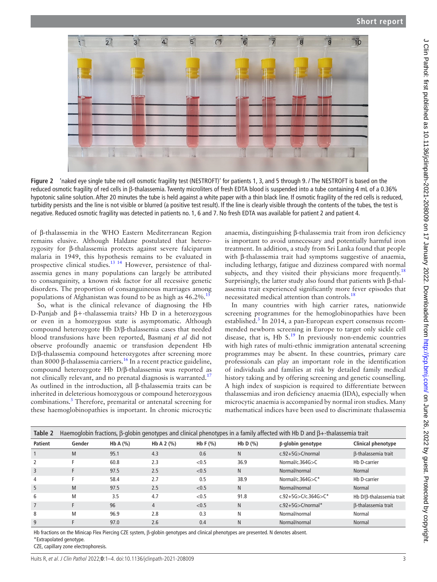

<span id="page-2-0"></span>**Figure 2** 'naked eye single tube red cell osmotic fragility test (NESTROFT)' for patients 1, 3, and 5 through 9. / The NESTROFT is based on the reduced osmotic fragility of red cells in β-thalassemia. Twenty microliters of fresh EDTA blood is suspended into a tube containing 4 mL of a 0.36% hypotonic saline solution. After 20 minutes the tube is held against a white paper with a thin black line. If osmotic fragility of the red cells is reduced, turbidity persists and the line is not visible or blurred (a positive test result). If the line is clearly visible through the contents of the tubes, the test is negative. Reduced osmotic fragility was detected in patients no. 1, 6 and 7. No fresh EDTA was available for patient 2 and patient 4.

of β-thalassemia in the WHO Eastern Mediterranean Region remains elusive. Although Haldane postulated that heterozygosity for β-thalassemia protects against severe falciparum malaria in 1949, this hypothesis remains to be evaluated in prospective clinical studies[.13 14](#page-3-11) However, persistence of thalassemia genes in many populations can largely be attributed to consanguinity, a known risk factor for all recessive genetic disorders. The proportion of consanguineous marriages among populations of Afghanistan was found to be as high as  $46.2\%$ .<sup>15</sup>

So, what is the clinical relevance of diagnosing the Hb D-Punjab and β+-thalassemia traits? Hb D in a heterozygous or even in a homozygous state is asymptomatic. Although compound heterozygote Hb D/β-thalassemia cases that needed blood transfusions have been reported, Basmanj *et al* did not observe profoundly anaemic or transfusion dependent Hb D/β-thalassemia compound heterozygotes after screening more than 8000 β-thalassemia carriers.<sup>16</sup> In a recent practice guideline, compound heterozygote Hb D/β-thalassemia was reported as not clinically relevant, and no prenatal diagnosis is warranted.<sup>[17](#page-3-14)</sup> As outlined in the introduction, all β-thalassemia traits can be inherited in deleterious homozygous or compound heterozygous combinations.<sup>[3](#page-3-3)</sup> Therefore, premarital or antenatal screening for these haemoglobinopathies is important. In chronic microcytic

anaemia, distinguishing β-thalassemia trait from iron deficiency is important to avoid unnecessary and potentially harmful iron treatment. In addition, a study from Sri Lanka found that people with β-thalassemia trait had symptoms suggestive of anaemia, including lethargy, fatigue and dizziness compared with normal subjects, and they visited their physicians more frequently.<sup>[18](#page-3-15)</sup> Surprisingly, the latter study also found that patients with β-thalassemia trait experienced significantly more fever episodes that necessitated medical attention than controls.<sup>18</sup>

In many countries with high carrier rates, nationwide screening programmes for the hemoglobinopathies have been established.<sup>3</sup> In 2014, a pan-European expert consensus recommended newborn screening in Europe to target only sickle cell disease, that is, Hb S.<sup>19</sup> In previously non-endemic countries with high rates of multi-ethnic immigration antenatal screening programmes may be absent. In these countries, primary care professionals can play an important role in the identification of individuals and families at risk by detailed family medical history taking and by offering screening and genetic counselling. A high index of suspicion is required to differentiate between thalassemias and iron deficiency anaemia (IDA), especially when microcytic anaemia is accompanied by normal iron studies. Many mathematical indices have been used to discriminate thalassemia

<span id="page-2-1"></span>

| Table 2        | Haemoglobin fractions, $\beta$ -globin genotypes and clinical phenotypes in a family affected with Hb D and $\beta$ +-thalassemia trait |            |              |            |            |                            |                           |  |  |  |
|----------------|-----------------------------------------------------------------------------------------------------------------------------------------|------------|--------------|------------|------------|----------------------------|---------------------------|--|--|--|
| <b>Patient</b> | Gender                                                                                                                                  | Hb A $(%)$ | Hb A 2 $(%)$ | Hb F $(%)$ | Hb D $(%)$ | $\beta$ -globin genotype   | <b>Clinical phenotype</b> |  |  |  |
|                | M                                                                                                                                       | 95.1       | 4.3          | 0.6        | N          | $c.92+5G > C/normal$       | B-thalassemia trait       |  |  |  |
| 2              | E                                                                                                                                       | 60.8       | 2.3          | < 0.5      | 36.9       | Normal/c.364 $G > C$       | Hb D-carrier              |  |  |  |
| 3              |                                                                                                                                         | 97.5       | 2.5          | < 0.5      | N.         | Normal/normal              | Normal                    |  |  |  |
| 4              |                                                                                                                                         | 58.4       | 2.7          | 0.5        | 38.9       | Normal/c.364 $G > C^*$     | Hb D-carrier              |  |  |  |
| 5              | M                                                                                                                                       | 97.5       | 2.5          | < 0.5      | N          | Normal/normal              | Normal                    |  |  |  |
| 6              | M                                                                                                                                       | 3.5        | 4.7          | < 0.5      | 91.8       | $c.92+5G > C/c.364G > C^*$ | Hb D/ß-thalassemia trait  |  |  |  |
| $\overline{7}$ |                                                                                                                                         | 96         | 4            | < 0.5      | N          | $c.92+5G > C/normal^*$     | B-thalassemia trait       |  |  |  |
| 8              | M                                                                                                                                       | 96.9       | 2.8          | 0.3        | N          | Normal/normal              | Normal                    |  |  |  |
| 9              |                                                                                                                                         | 97.0       | 2.6          | 0.4        | N          | Normal/normal              | Normal                    |  |  |  |

Hb fractions on the Minicap Flex Piercing CZE system, β-globin genotypes and clinical phenotypes are presented. N denotes absent. \*Extrapolated genotype.

CZE, capillary zone electrophoresis.